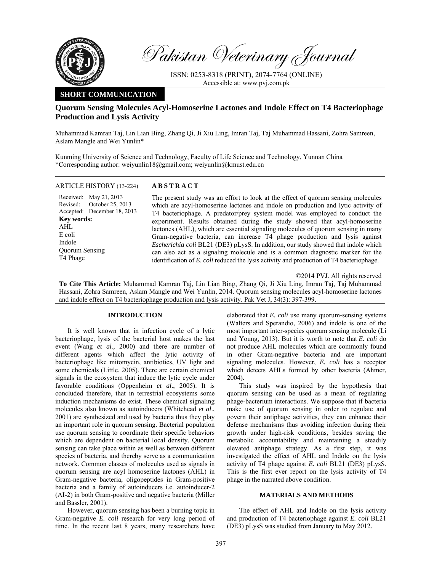

Pakistan Veterinary Journal

ISSN: 0253-8318 (PRINT), 2074-7764 (ONLINE) Accessible at: www.pvj.com.pk

## **SHORT COMMUNICATION**

# **Quorum Sensing Molecules Acyl-Homoserine Lactones and Indole Effect on T4 Bacteriophage Production and Lysis Activity**

Muhammad Kamran Taj, Lin Lian Bing, Zhang Qi, Ji Xiu Ling, Imran Taj, Taj Muhammad Hassani, Zohra Samreen, Aslam Mangle and Wei Yunlin\*

Kunming University of Science and Technology, Faculty of Life Science and Technology, Yunnan China \*Corresponding author: weiyunlin18@gmail.com; weiyunlin@kmust.edu.cn

| <b>ARTICLE HISTORY (13-224)</b>                                                                                                                                                        | <b>ABSTRACT</b>                                                                                                                                                                                                                                                                                                                                                                                                                                                                                                                                                                                                                                                                                                                                                                 |
|----------------------------------------------------------------------------------------------------------------------------------------------------------------------------------------|---------------------------------------------------------------------------------------------------------------------------------------------------------------------------------------------------------------------------------------------------------------------------------------------------------------------------------------------------------------------------------------------------------------------------------------------------------------------------------------------------------------------------------------------------------------------------------------------------------------------------------------------------------------------------------------------------------------------------------------------------------------------------------|
| Received: May 21, 2013<br>October 25, 2013<br>Revised:<br>Accepted: December 18, 2013<br><b>Key words:</b><br>AHL<br>E coli<br>Indole<br><b>Ouorum Sensing</b><br>T <sub>4</sub> Phage | The present study was an effort to look at the effect of quorum sensing molecules<br>which are acyl-homoserine lactones and indole on production and lytic activity of<br>T4 bacteriophage. A predator/prey system model was employed to conduct the<br>experiment. Results obtained during the study showed that acyl-homoserine<br>lactones (AHL), which are essential signaling molecules of quorum sensing in many<br>Gram-negative bacteria, can increase T4 phage production and lysis against<br><i>Escherichia coli</i> BL21 (DE3) pLysS. In addition, our study showed that indole which<br>can also act as a signaling molecule and is a common diagnostic marker for the<br>identification of E. coli reduced the lysis activity and production of T4 bacteriophage. |

©2014 PVJ. All rights reserved **To Cite This Article:** Muhammad Kamran Taj, Lin Lian Bing, Zhang Qi, Ji Xiu Ling, Imran Taj, Taj Muhammad Hassani, Zohra Samreen, Aslam Mangle and Wei Yunlin, 2014. Quorum sensing molecules acyl-homoserine lactones and indole effect on T4 bacteriophage production and lysis activity. Pak Vet J, 34(3): 397-399.

### **INTRODUCTION**

It is well known that in infection cycle of a lytic bacteriophage, lysis of the bacterial host makes the last event (Wang *et al.,* 2000) and there are number of different agents which affect the lytic activity of bacteriophage like mitomycin, antibiotics, UV light and some chemicals (Little, 2005). There are certain chemical signals in the ecosystem that induce the lytic cycle under favorable conditions (Oppenheim *et al*., 2005). It is concluded therefore, that in terrestrial ecosystems some induction mechanisms do exist. These chemical signaling molecules also known as autoinducers (Whitehead *et al*., 2001) are synthesized and used by bacteria thus they play an important role in quorum sensing. Bacterial population use quorum sensing to coordinate their specific behaviors which are dependent on bacterial local density. Quorum sensing can take place within as well as between different species of bacteria, and thereby serve as a communication network. Common classes of molecules used as signals in quorum sensing are acyl homoserine lactones (AHL) in Gram-negative bacteria, oligopeptides in Gram-positive bacteria and a family of autoinducers i.e. autoinducer-2 (AI-2) in both Gram-positive and negative bacteria (Miller and Bassler, 2001).

However, quorum sensing has been a burning topic in Gram-negative *E. coli* research for very long period of time. In the recent last 8 years, many researchers have elaborated that *E. coli* use many quorum-sensing systems (Walters and Sperandio, 2006) and indole is one of the most important inter-species quorum sensing molecule (Li and Young, 2013). But it is worth to note that *E. coli* do not produce AHL molecules which are commonly found in other Gram-negative bacteria and are important signaling molecules. However, *E. coli* has a receptor which detects AHLs formed by other bacteria (Ahmer, 2004).

This study was inspired by the hypothesis that quorum sensing can be used as a mean of regulating phage-bacterium interactions. We suppose that if bacteria make use of quorum sensing in order to regulate and govern their antiphage activities, they can enhance their defense mechanisms thus avoiding infection during their growth under high-risk conditions, besides saving the metabolic accountability and maintaining a steadily elevated antiphage strategy. As a first step, it was investigated the effect of AHL and Indole on the lysis activity of T4 phage against *E. coli* BL21 (DE3) pLysS. This is the first ever report on the lysis activity of T4 phage in the narrated above condition.

## **MATERIALS AND METHODS**

The effect of AHL and Indole on the lysis activity and production of T4 bacteriophage against *E. coli* BL21 (DE3) pLysS was studied from January to May 2012.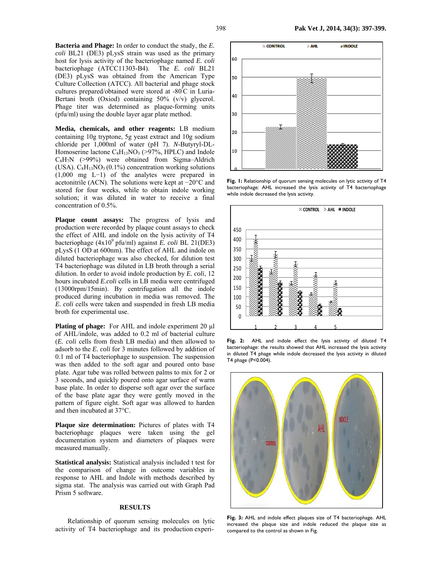**Bacteria and Phage:** In order to conduct the study, the *E. coli* BL21 (DE3) pLysS strain was used as the primary host for lysis activity of the bacteriophage named *E. coli*  bacteriophage (ATCC11303-B4). The *E. coli* BL21 (DE3) pLysS was obtained from the American Type Culture Collection (ATCC). All bacterial and phage stock cultures prepared/obtained were stored at -80º C in Luria-Bertani broth (Oxiod) containing 50% (v/v) glycerol. Phage titer was determined as plaque-forming units (pfu/ml) using the double layer agar plate method.

**Media, chemicals, and other reagents:** LB medium containing 10g tryptone, 5g yeast extract and 10g sodium chloride per 1,000ml of water (pH 7). *N*-Butyryl-DL-Homoserine lactone  $C_8H_{13}NO_3$  (>97%, HPLC) and Indole  $C_8H_7N$  (>99%) were obtained from Sigma–Aldrich (USA).  $C_8H_{13}NO_3 (0.1%)$  concentration working solutions (1,000 mg L−1) of the analytes were prepared in acetonitrile (ACN). The solutions were kept at −20°C and stored for four weeks, while to obtain indole working solution; it was diluted in water to receive a final concentration of 0.5%.

Plaque count assays: The progress of lysis and production were recorded by plaque count assays to check the effect of AHL and indole on the lysis activity of T4 bacteriophage (4x109 pfu/ml) against *E. coli* BL 21(DE3) pLysS (1 OD at 600nm). The effect of AHL and indole on diluted bacteriophage was also checked, for dilution test T4 bacteriophage was diluted in LB broth through a serial dilution. In order to avoid indole production by *E. coli*, 12 hours incubated *E.coli* cells in LB media were centrifuged (13000rpm/15min). By centrifugation all the indole produced during incubation in media was removed. The *E. coli* cells were taken and suspended in fresh LB media broth for experimental use.

**Plating of phage:** For AHL and indole experiment 20  $\mu$ l of AHL/indole, was added to 0.2 ml of bacterial culture (*E. coli* cells from fresh LB media) and then allowed to adsorb to the *E. coli* for 3 minutes followed by addition of 0.1 ml of T4 bacteriophage to suspension. The suspension was then added to the soft agar and poured onto base plate. Agar tube was rolled between palms to mix for 2 or 3 seconds, and quickly poured onto agar surface of warm base plate. In order to disperse soft agar over the surface of the base plate agar they were gently moved in the pattern of figure eight. Soft agar was allowed to harden and then incubated at 37°C.

**Plaque size determination:** Pictures of plates with T4 bacteriophage plaques were taken using the gel documentation system and diameters of plaques were measured manually.

**Statistical analysis:** Statistical analysis included t test for the comparison of change in outcome variables in response to AHL and Indole with methods described by sigma stat. The analysis was carried out with Graph Pad Prism 5 software.

### **RESULTS**

Relationship of quorum sensing molecules on lytic activity of T4 bacteriophage and its production experi-



**Fig. 1:** Relationship of quorum sensing molecules on lytic activity of T4 bacteriophage: AHL increased the lysis activity of T4 bacteriophage while indole decreased the lysis activity.



**Fig. 2:** AHL and indole effect the lysis activity of diluted T4 bacteriophage: the results showed that AHL increased the lysis activity in diluted T4 phage while indole decreased the lysis activity in diluted T4 phage (P<0.004).



**Fig. 3:** AHL and indole effect plaques size of T4 bacteriophage. AHL increased the plaque size and indole reduced the plaque size as compared to the control as shown in Fig.